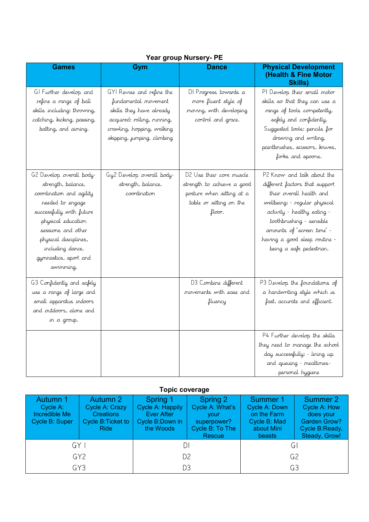| <b>Games</b>                                                                                                                                                                                                                                              | Gym                                                                                                                                                                       | <b>Dance</b>                                                                                                             | <b>Physical Development</b><br>(Health & Fine Motor<br><b>Skills</b> )                                                                                                                                                                                                          |  |  |
|-----------------------------------------------------------------------------------------------------------------------------------------------------------------------------------------------------------------------------------------------------------|---------------------------------------------------------------------------------------------------------------------------------------------------------------------------|--------------------------------------------------------------------------------------------------------------------------|---------------------------------------------------------------------------------------------------------------------------------------------------------------------------------------------------------------------------------------------------------------------------------|--|--|
| GI Further develop and<br>refine a range of ball<br>skills including: throwing,<br>catching, kicking, passing,<br>batting, and aiming.                                                                                                                    | GYI Revise and refine the<br>fundamental movement<br>skills they have already<br>acquired: rolling, running,<br>crawling, hopping, walking<br>skipping, jumping, climbing | DI Progress towards a<br>more fluent style of<br>moving, with developing<br>control and grace.                           | PI Develop their small motor<br>skills so that they can use a<br>range of tools competently,<br>safely and confidently.<br>Suggested tools: pencils for<br>drawing and writing,<br>paintbrushes, scissors, knives,<br>forks and spoons.                                         |  |  |
| G2 Develop overall body-<br>strength, balance,<br>coordination and agility<br>needed to engage<br>successfully with future<br>physical education<br>sessions and other<br>physical disciplines,<br>including dance,<br>gymnastics, sport and<br>swimming. | Gy2 Develop overall body-<br>strength, balance,<br>coordination                                                                                                           | D2 Use their core muscle<br>strength to achieve a good<br>posture when sitting at a<br>table or sitting on the<br>floor. | P2 Know and talk about the<br>different factors that support<br>their overall health and<br>wellbeing: - regular physical<br>activity - healthy eating -<br>toothbrushing - sensible<br>amounts of 'screen time' -<br>having a good sleep routine -<br>being a safe pedestrian. |  |  |
| G3 Confidently and safely<br>use a range of large and<br>small apparatus indoors.<br>and outdoors, alone and<br>in a group.                                                                                                                               |                                                                                                                                                                           | D3 Combine different<br>movements with ease and<br>fluency                                                               | P3 Develop the foundations of<br>a handwriting style which is<br>fast, accurate and efficient.                                                                                                                                                                                  |  |  |
|                                                                                                                                                                                                                                                           |                                                                                                                                                                           |                                                                                                                          | P4 Further develop the skills<br>they need to manage the school<br>day successfully: - lining up<br>and queuing - mealtimes-<br>personal hygiene                                                                                                                                |  |  |

## **Year group Nursery- PE**

## **Topic coverage**

| <b>Autumn 1</b><br>Cycle A:<br>Incredible Me<br>Cycle B: Super | <b>Autumn 2</b><br>Cycle A: Crazy<br><b>Creations</b><br>Cycle B: Ticket to<br><b>Ride</b> | Spring 1<br>Cycle A: Happily<br><b>Ever After</b><br>Cycle B:Down in<br>the Woods | Spring 2<br>Cycle A: What's<br><b>VOUL</b><br>superpower?<br>Cycle B: To The<br>Rescue | Summer 1<br>Cycle A: Down<br>on the Farm<br>Cycle B: Mad<br>about Mini<br>beasts | <b>Summer 2</b><br>Cycle A: How<br>does your<br><b>Garden Grow?</b><br>Cycle B:Ready,<br>Steady, Grow! |  |
|----------------------------------------------------------------|--------------------------------------------------------------------------------------------|-----------------------------------------------------------------------------------|----------------------------------------------------------------------------------------|----------------------------------------------------------------------------------|--------------------------------------------------------------------------------------------------------|--|
| $GY$                                                           |                                                                                            | DΙ                                                                                |                                                                                        | GI                                                                               |                                                                                                        |  |
| GY <sub>2</sub>                                                |                                                                                            | D2                                                                                |                                                                                        | G <sub>2</sub>                                                                   |                                                                                                        |  |
| GY3                                                            |                                                                                            | D3                                                                                |                                                                                        | G3                                                                               |                                                                                                        |  |